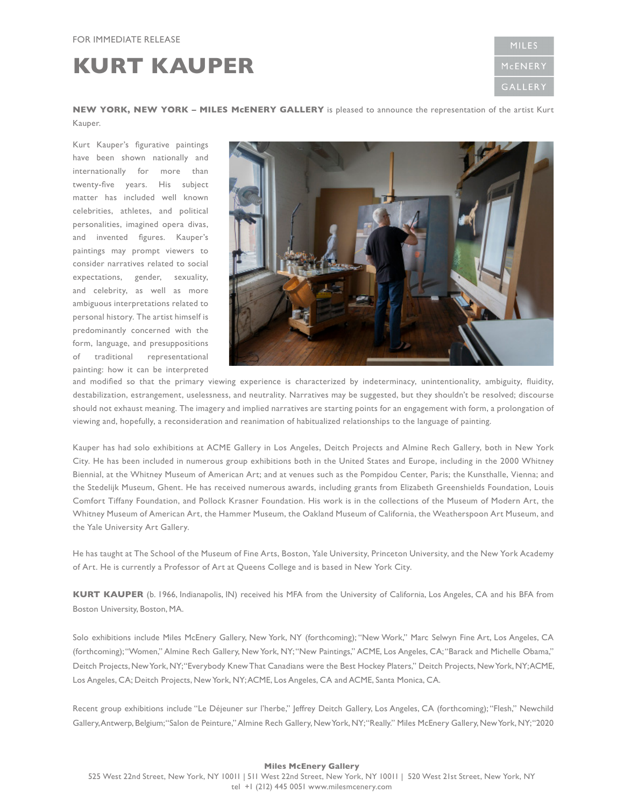## **KURT KAUPER**

**MILES** MCENERY **GALLER** 

**NEW YORK, NEW YORK – MILES McENERY GALLERY** is pleased to announce the representation of the artist Kurt Kauper.

Kurt Kauper's figurative paintings have been shown nationally and internationally for more than twenty-five years. His subject matter has included well known celebrities, athletes, and political personalities, imagined opera divas, and invented figures. Kauper's paintings may prompt viewers to consider narratives related to social expectations, gender, sexuality, and celebrity, as well as more ambiguous interpretations related to personal history. The artist himself is predominantly concerned with the form, language, and presuppositions of traditional representational painting: how it can be interpreted



and modified so that the primary viewing experience is characterized by indeterminacy, unintentionality, ambiguity, fluidity, destabilization, estrangement, uselessness, and neutrality. Narratives may be suggested, but they shouldn't be resolved; discourse should not exhaust meaning. The imagery and implied narratives are starting points for an engagement with form, a prolongation of viewing and, hopefully, a reconsideration and reanimation of habitualized relationships to the language of painting.

Kauper has had solo exhibitions at ACME Gallery in Los Angeles, Deitch Projects and Almine Rech Gallery, both in New York City. He has been included in numerous group exhibitions both in the United States and Europe, including in the 2000 Whitney Biennial, at the Whitney Museum of American Art; and at venues such as the Pompidou Center, Paris; the Kunsthalle, Vienna; and the Stedelijk Museum, Ghent. He has received numerous awards, including grants from Elizabeth Greenshields Foundation, Louis Comfort Tiffany Foundation, and Pollock Krasner Foundation. His work is in the collections of the Museum of Modern Art, the Whitney Museum of American Art, the Hammer Museum, the Oakland Museum of California, the Weatherspoon Art Museum, and the Yale University Art Gallery.

He has taught at The School of the Museum of Fine Arts, Boston, Yale University, Princeton University, and the New York Academy of Art. He is currently a Professor of Art at Queens College and is based in New York City.

**KURT KAUPER** (b. 1966, Indianapolis, IN) received his MFA from the University of California, Los Angeles, CA and his BFA from Boston University, Boston, MA.

Solo exhibitions include Miles McEnery Gallery, New York, NY (forthcoming); "New Work," Marc Selwyn Fine Art, Los Angeles, CA (forthcoming); "Women," Almine Rech Gallery, New York, NY; "New Paintings," ACME, Los Angeles, CA; "Barack and Michelle Obama," Deitch Projects, New York, NY; "Everybody Knew That Canadians were the Best Hockey Platers," Deitch Projects, New York, NY; ACME, Los Angeles, CA; Deitch Projects, New York, NY; ACME, Los Angeles, CA and ACME, Santa Monica, CA.

Recent group exhibitions include "Le Déjeuner sur l'herbe," Jeffrey Deitch Gallery, Los Angeles, CA (forthcoming); "Flesh," Newchild Gallery, Antwerp, Belgium; "Salon de Peinture," Almine Rech Gallery, New York, NY; "Really." Miles McEnery Gallery, New York, NY; "2020

## **Miles McEnery Gallery**  525 West 22nd Street, New York, NY 10011 | 511 West 22nd Street, New York, NY 10011 | 520 West 21st Street, New York, NY tel +1 (212) 445 0051 www.milesmcenery.com